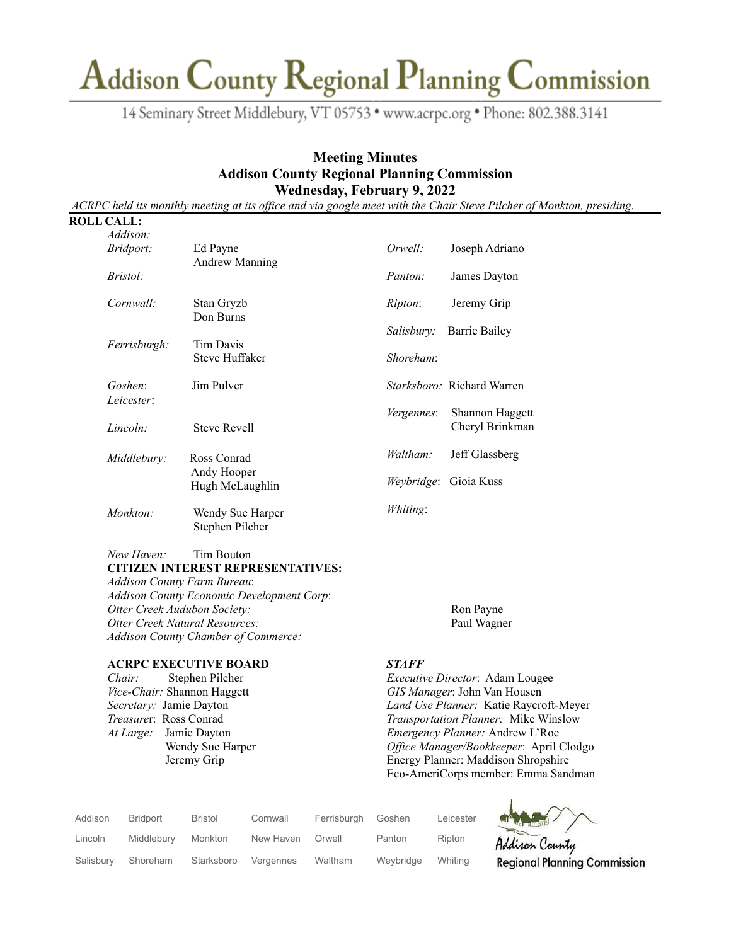14 Seminary Street Middlebury, VT 05753 · www.acrpc.org · Phone: 802.388.3141

### **Meeting Minutes Addison County Regional Planning Commission Wednesday, February 9, 2022**

ACRPC held its monthly meeting at its office and via google meet with the Chair Steve Pilcher of Monkton, presiding.

#### **ROLL CALL:**

| Addison:         |                                     |                   |                                   |
|------------------|-------------------------------------|-------------------|-----------------------------------|
| <i>Bridport:</i> | Ed Payne                            | Orwell:           | Joseph Adriano                    |
| <i>Bristol:</i>  | <b>Andrew Manning</b>               | Panton:           | James Dayton                      |
| Cornwall:        | Stan Gryzb<br>Don Burns             | <i>Ripton</i> :   | Jeremy Grip                       |
|                  |                                     | Salisbury:        | Barrie Bailey                     |
| Ferrisburgh:     | Tim Davis<br>Steve Huffaker         | Shoreham:         |                                   |
| Goshen:          | Jim Pulver                          |                   | <i>Starksboro:</i> Richard Warren |
| Leicester:       |                                     | <i>Vergennes:</i> | Shannon Haggett                   |
| Lincoh:          | <b>Steve Revell</b>                 |                   | Cheryl Brinkman                   |
| Middlebury:      | Ross Conrad                         | Waltham:          | Jeff Glassberg                    |
|                  | Andy Hooper<br>Hugh McLaughlin      | Weybridge:        | Gioia Kuss                        |
| Monkton:         | Wendy Sue Harper<br>Stephen Pilcher | Whiting:          |                                   |

#### *New Haven:* Tim Bouton **CITIZEN INTEREST REPRESENTATIVES:**

*Addison County Farm Bureau*: *Addison County Economic Development Corp*: *Otter Creek Audubon Society:* Ron Payne *Otter Creek Natural Resources:* Paul Wagner *Addison County Chamber of Commerce:*

#### **ACRPC EXECUTIVE BOARD**

*Chair:* Stephen Pilcher *Vice-Chair:* Shannon Haggett *Secretary:* Jamie Dayton *Treasure*r: Ross Conrad *At Large:* Jamie Dayton Wendy Sue Harper Jeremy Grip

#### *STAFF*

*Executive Director*: Adam Lougee *GIS Manager*: John Van Housen *Land Use Planner:* Katie Raycroft-Meyer *Transportation Planner:* Mike Winslow *Emergency Planner:* Andrew L'Roe *Of ice Manager/Bookkeeper*: April Clodgo Energy Planner: Maddison Shropshire Eco-AmeriCorps member: Emma Sandman

| Addison   | <b>Bridport</b> | <b>Bristol</b> | Cornwall  | Ferrisburgh | Goshen    | Leicester | MARY                                |
|-----------|-----------------|----------------|-----------|-------------|-----------|-----------|-------------------------------------|
| Lincoln   | Middlebury      | Monkton        | New Haven | Orwell      | Panton    | Ripton    | Addison County                      |
| Salisbury | Shoreham        | Starksboro     | Vergennes | Waltham     | Weybridge | Whiting   | <b>Regional Planning Commission</b> |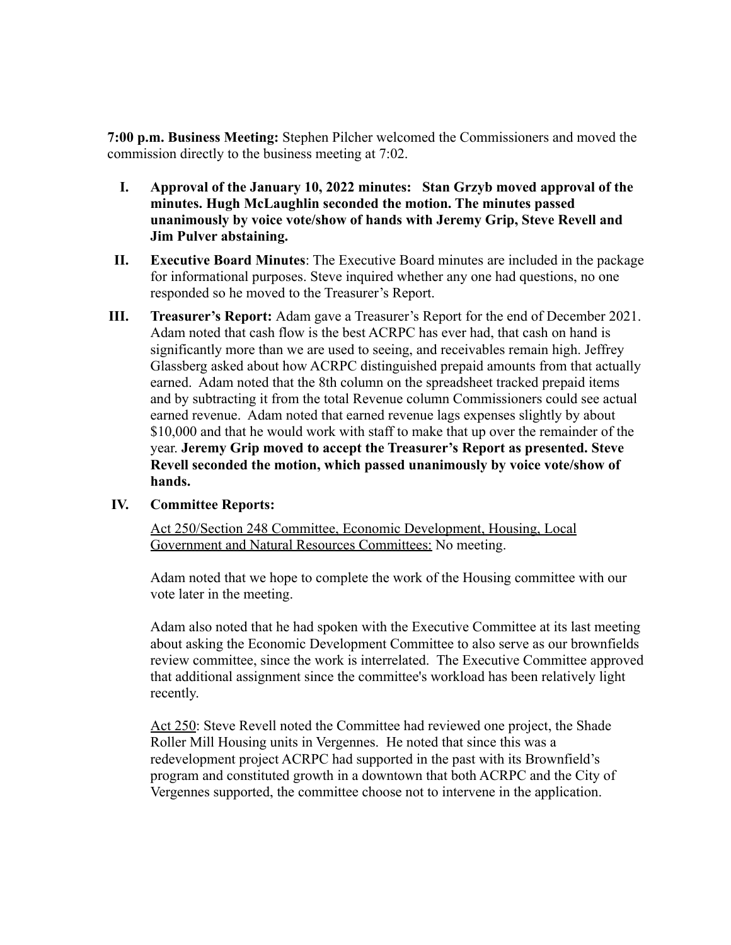**7:00 p.m. Business Meeting:** Stephen Pilcher welcomed the Commissioners and moved the commission directly to the business meeting at 7:02.

- **I. Approval of the January 10, 2022 minutes: Stan Grzyb moved approval of the minutes. Hugh McLaughlin seconded the motion. The minutes passed unanimously by voice vote/show of hands with Jeremy Grip, Steve Revell and Jim Pulver abstaining.**
- **II. Executive Board Minutes**: The Executive Board minutes are included in the package for informational purposes. Steve inquired whether any one had questions, no one responded so he moved to the Treasurer's Report.
- **III. Treasurer's Report:** Adam gave a Treasurer's Report for the end of December 2021. Adam noted that cash flow is the best ACRPC has ever had, that cash on hand is significantly more than we are used to seeing, and receivables remain high. Jeffrey Glassberg asked about how ACRPC distinguished prepaid amounts from that actually earned. Adam noted that the 8th column on the spreadsheet tracked prepaid items and by subtracting it from the total Revenue column Commissioners could see actual earned revenue. Adam noted that earned revenue lags expenses slightly by about \$10,000 and that he would work with staff to make that up over the remainder of the year. **Jeremy Grip moved to accept the Treasurer's Report as presented. Steve Revell seconded the motion, which passed unanimously by voice vote/show of hands.**

### **IV. Committee Reports:**

Act 250/Section 248 Committee, Economic Development, Housing, Local Government and Natural Resources Committees: No meeting.

Adam noted that we hope to complete the work of the Housing committee with our vote later in the meeting.

Adam also noted that he had spoken with the Executive Committee at its last meeting about asking the Economic Development Committee to also serve as our brownfields review committee, since the work is interrelated. The Executive Committee approved that additional assignment since the committee's workload has been relatively light recently.

Act 250: Steve Revell noted the Committee had reviewed one project, the Shade Roller Mill Housing units in Vergennes. He noted that since this was a redevelopment project ACRPC had supported in the past with its Brownfield's program and constituted growth in a downtown that both ACRPC and the City of Vergennes supported, the committee choose not to intervene in the application.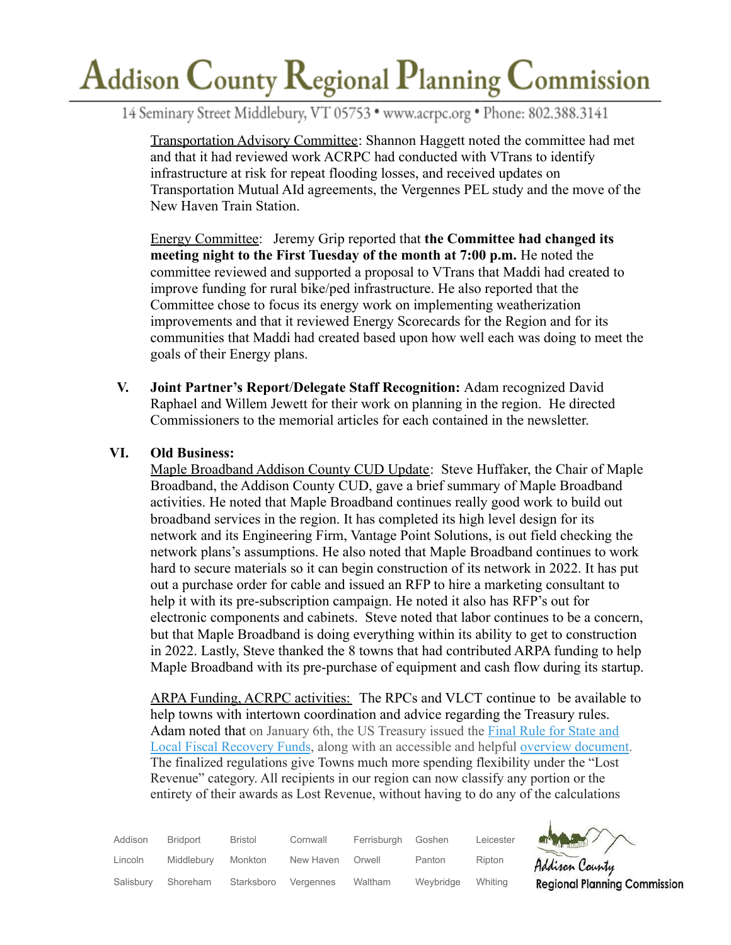14 Seminary Street Middlebury, VT 05753 · www.acrpc.org · Phone: 802.388.3141

Transportation Advisory Committee: Shannon Haggett noted the committee had met and that it had reviewed work ACRPC had conducted with VTrans to identify infrastructure at risk for repeat flooding losses, and received updates on Transportation Mutual AId agreements, the Vergennes PEL study and the move of the New Haven Train Station.

Energy Committee: Jeremy Grip reported that **the Committee had changed its meeting night to the First Tuesday of the month at 7:00 p.m.** He noted the committee reviewed and supported a proposal to VTrans that Maddi had created to improve funding for rural bike/ped infrastructure. He also reported that the Committee chose to focus its energy work on implementing weatherization improvements and that it reviewed Energy Scorecards for the Region and for its communities that Maddi had created based upon how well each was doing to meet the goals of their Energy plans.

**V. Joint Partner's Report**/**Delegate Staff Recognition:** Adam recognized David Raphael and Willem Jewett for their work on planning in the region. He directed Commissioners to the memorial articles for each contained in the newsletter.

## **VI. Old Business:**

Maple Broadband Addison County CUD Update: Steve Huffaker, the Chair of Maple Broadband, the Addison County CUD, gave a brief summary of Maple Broadband activities. He noted that Maple Broadband continues really good work to build out broadband services in the region. It has completed its high level design for its network and its Engineering Firm, Vantage Point Solutions, is out field checking the network plans's assumptions. He also noted that Maple Broadband continues to work hard to secure materials so it can begin construction of its network in 2022. It has put out a purchase order for cable and issued an RFP to hire a marketing consultant to help it with its pre-subscription campaign. He noted it also has RFP's out for electronic components and cabinets. Steve noted that labor continues to be a concern, but that Maple Broadband is doing everything within its ability to get to construction in 2022. Lastly, Steve thanked the 8 towns that had contributed ARPA funding to help Maple Broadband with its pre-purchase of equipment and cash flow during its startup.

ARPA Funding, ACRPC activities: The RPCs and VLCT continue to be available to help towns with intertown coordination and advice regarding the Treasury rules. Adam noted that on January 6th, the US Treasury issued the [Final](https://track.robly.com/e12d8b8a-697c-451f-a2db-3c4ccb8075e03d3b2c015c15ab89b575b4d20b6e9bd1) Rule for State and Local Fiscal [Recovery](https://track.robly.com/e12d8b8a-697c-451f-a2db-3c4ccb8075e03d3b2c015c15ab89b575b4d20b6e9bd1) Funds, along with an accessible and helpful overview [document.](https://track.robly.com/e12d8b8a-697c-451f-a2db-3c4ccb8075e0c4793325b790a9d0e945b2bea172aabb) The finalized regulations give Towns much more spending flexibility under the "Lost Revenue" category. All recipients in our region can now classify any portion or the entirety of their awards as Lost Revenue, without having to do any of the calculations

| Addison   | <b>Bridport</b> | <b>Bristol</b> | Cornwall  | Ferrisburgh | Goshen    | Leicester | an M   |
|-----------|-----------------|----------------|-----------|-------------|-----------|-----------|--------|
| Lincoln   | Middlebury      | Monkton        | New Haven | Orwell      | Panton    | Ripton    | Addin  |
| Salisbury | Shoreham        | Starksboro     | Vergennes | Waltham     | Weybridge | Whiting   | Regior |



 $\mathbf{I}$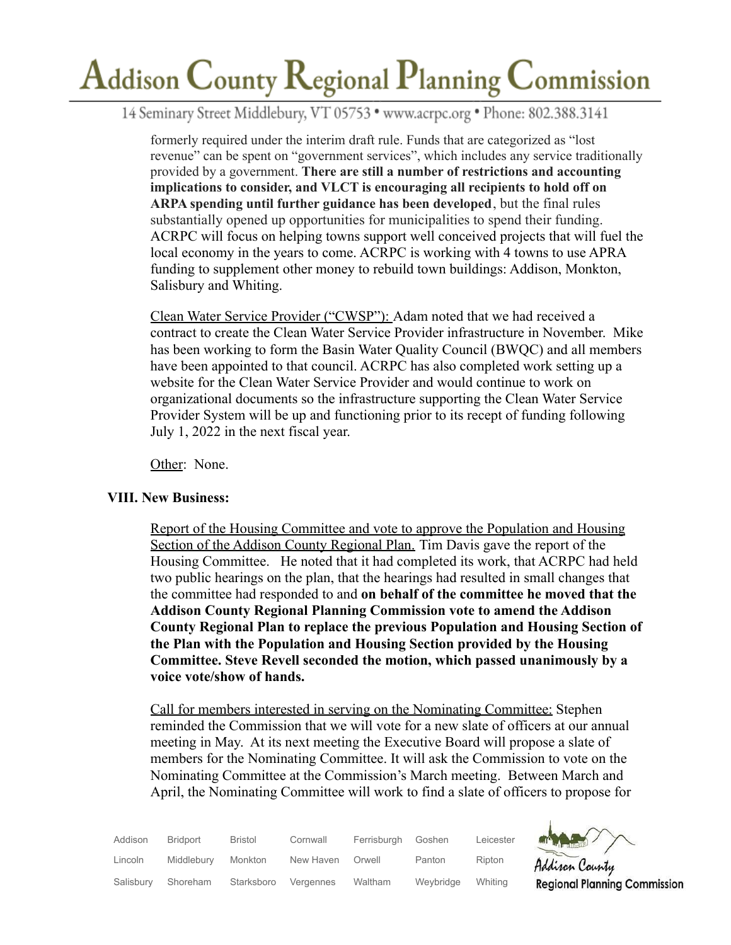14 Seminary Street Middlebury, VT 05753 · www.acrpc.org · Phone: 802.388.3141

formerly required under the interim draft rule. Funds that are categorized as "lost revenue" can be spent on "government services", which includes any service traditionally provided by a government. **There are still a number of restrictions and accounting implications to consider, and VLCT is encouraging all recipients to hold off on ARPA spending until further guidance has been developed**, but the final rules substantially opened up opportunities for municipalities to spend their funding. ACRPC will focus on helping towns support well conceived projects that will fuel the local economy in the years to come. ACRPC is working with 4 towns to use APRA funding to supplement other money to rebuild town buildings: Addison, Monkton, Salisbury and Whiting.

Clean Water Service Provider ("CWSP"): Adam noted that we had received a contract to create the Clean Water Service Provider infrastructure in November. Mike has been working to form the Basin Water Quality Council (BWQC) and all members have been appointed to that council. ACRPC has also completed work setting up a website for the Clean Water Service Provider and would continue to work on organizational documents so the infrastructure supporting the Clean Water Service Provider System will be up and functioning prior to its recept of funding following July 1, 2022 in the next fiscal year.

Other: None.

### **VIII. New Business:**

Report of the Housing Committee and vote to approve the Population and Housing Section of the Addison County Regional Plan. Tim Davis gave the report of the Housing Committee. He noted that it had completed its work, that ACRPC had held two public hearings on the plan, that the hearings had resulted in small changes that the committee had responded to and **on behalf of the committee he moved that the Addison County Regional Planning Commission vote to amend the Addison County Regional Plan to replace the previous Population and Housing Section of the Plan with the Population and Housing Section provided by the Housing Committee. Steve Revell seconded the motion, which passed unanimously by a voice vote/show of hands.**

Call for members interested in serving on the Nominating Committee: Stephen reminded the Commission that we will vote for a new slate of officers at our annual meeting in May. At its next meeting the Executive Board will propose a slate of members for the Nominating Committee. It will ask the Commission to vote on the Nominating Committee at the Commission's March meeting. Between March and April, the Nominating Committee will work to find a slate of officers to propose for

| Addison   | <b>Bridport</b> | <b>Bristol</b> | Cornwall  | Ferrisburgh | Goshen    | Leicester | <b>ATT DESCRIPTION</b> |
|-----------|-----------------|----------------|-----------|-------------|-----------|-----------|------------------------|
| Lincoln   | Middlebury      | Monkton        | New Haven | Orwell      | Panton    | Ripton    | Addison                |
| Salisbury | Shoreham        | Starksboro     | Vergennes | Waltham     | Weybridge | Whitina   | Regional               |



 $\mathbf{I}$